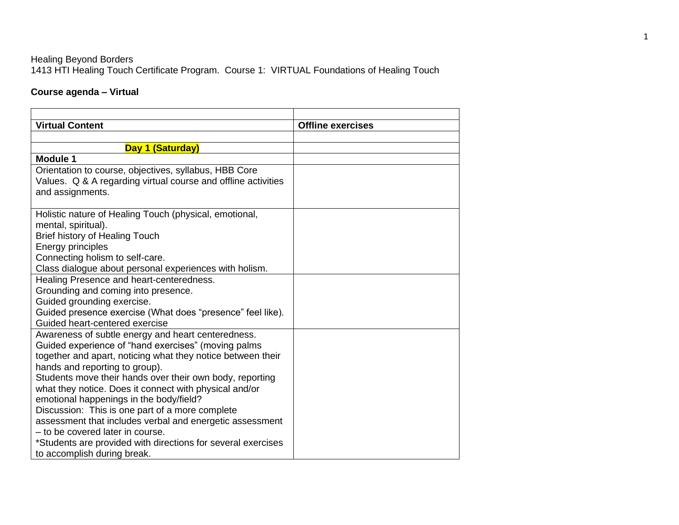## Healing Beyond Borders 1413 HTI Healing Touch Certificate Program. Course 1: VIRTUAL Foundations of Healing Touch

## **Course agenda – Virtual**

| <b>Virtual Content</b>                                                                                                                     | <b>Offline exercises</b> |
|--------------------------------------------------------------------------------------------------------------------------------------------|--------------------------|
|                                                                                                                                            |                          |
| Day 1 (Saturday)                                                                                                                           |                          |
| <b>Module 1</b>                                                                                                                            |                          |
| Orientation to course, objectives, syllabus, HBB Core<br>Values. Q & A regarding virtual course and offline activities<br>and assignments. |                          |
| Holistic nature of Healing Touch (physical, emotional,                                                                                     |                          |
| mental, spiritual).                                                                                                                        |                          |
| Brief history of Healing Touch                                                                                                             |                          |
| Energy principles                                                                                                                          |                          |
| Connecting holism to self-care.                                                                                                            |                          |
| Class dialogue about personal experiences with holism.                                                                                     |                          |
| Healing Presence and heart-centeredness.                                                                                                   |                          |
| Grounding and coming into presence.                                                                                                        |                          |
| Guided grounding exercise.                                                                                                                 |                          |
| Guided presence exercise (What does "presence" feel like).                                                                                 |                          |
| Guided heart-centered exercise                                                                                                             |                          |
| Awareness of subtle energy and heart centeredness.                                                                                         |                          |
| Guided experience of "hand exercises" (moving palms                                                                                        |                          |
| together and apart, noticing what they notice between their                                                                                |                          |
| hands and reporting to group).                                                                                                             |                          |
| Students move their hands over their own body, reporting                                                                                   |                          |
| what they notice. Does it connect with physical and/or                                                                                     |                          |
| emotional happenings in the body/field?                                                                                                    |                          |
| Discussion: This is one part of a more complete                                                                                            |                          |
| assessment that includes verbal and energetic assessment                                                                                   |                          |
| - to be covered later in course.                                                                                                           |                          |
| *Students are provided with directions for several exercises                                                                               |                          |
| to accomplish during break.                                                                                                                |                          |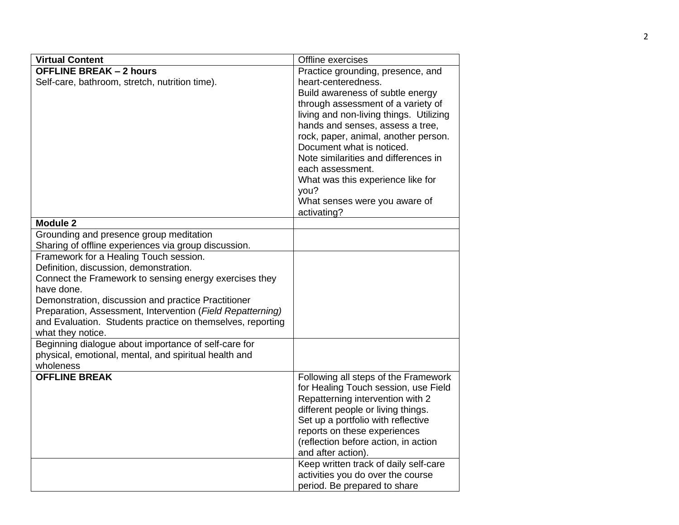| <b>Virtual Content</b>                                     | Offline exercises                                                      |
|------------------------------------------------------------|------------------------------------------------------------------------|
| <b>OFFLINE BREAK - 2 hours</b>                             | Practice grounding, presence, and                                      |
| Self-care, bathroom, stretch, nutrition time).             | heart-centeredness.                                                    |
|                                                            | Build awareness of subtle energy                                       |
|                                                            | through assessment of a variety of                                     |
|                                                            | living and non-living things. Utilizing                                |
|                                                            | hands and senses, assess a tree,                                       |
|                                                            | rock, paper, animal, another person.                                   |
|                                                            | Document what is noticed.                                              |
|                                                            | Note similarities and differences in                                   |
|                                                            | each assessment.                                                       |
|                                                            | What was this experience like for                                      |
|                                                            | you?                                                                   |
|                                                            | What senses were you aware of                                          |
|                                                            | activating?                                                            |
| <b>Module 2</b>                                            |                                                                        |
| Grounding and presence group meditation                    |                                                                        |
| Sharing of offline experiences via group discussion.       |                                                                        |
| Framework for a Healing Touch session.                     |                                                                        |
| Definition, discussion, demonstration.                     |                                                                        |
| Connect the Framework to sensing energy exercises they     |                                                                        |
| have done.                                                 |                                                                        |
| Demonstration, discussion and practice Practitioner        |                                                                        |
| Preparation, Assessment, Intervention (Field Repatterning) |                                                                        |
| and Evaluation. Students practice on themselves, reporting |                                                                        |
| what they notice.                                          |                                                                        |
| Beginning dialogue about importance of self-care for       |                                                                        |
| physical, emotional, mental, and spiritual health and      |                                                                        |
| wholeness<br><b>OFFLINE BREAK</b>                          |                                                                        |
|                                                            | Following all steps of the Framework                                   |
|                                                            | for Healing Touch session, use Field                                   |
|                                                            | Repatterning intervention with 2<br>different people or living things. |
|                                                            | Set up a portfolio with reflective                                     |
|                                                            | reports on these experiences                                           |
|                                                            | (reflection before action, in action                                   |
|                                                            | and after action).                                                     |
|                                                            | Keep written track of daily self-care                                  |
|                                                            | activities you do over the course                                      |
|                                                            | period. Be prepared to share                                           |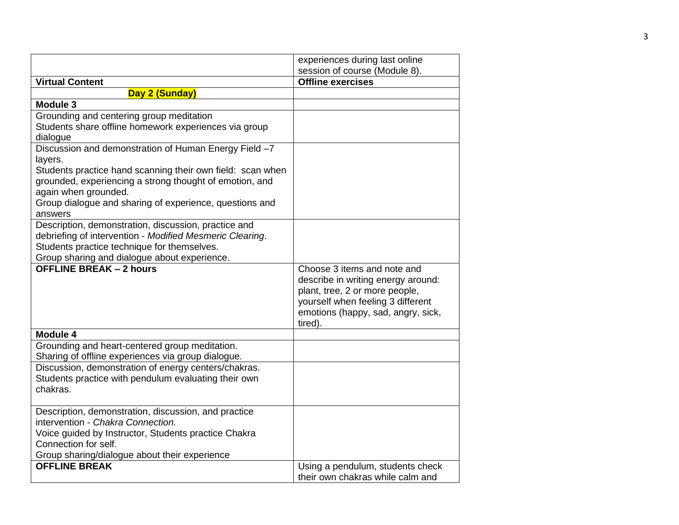|                                                                                                                                                                                                                                                                                         | experiences during last online                                                                                                                                                            |
|-----------------------------------------------------------------------------------------------------------------------------------------------------------------------------------------------------------------------------------------------------------------------------------------|-------------------------------------------------------------------------------------------------------------------------------------------------------------------------------------------|
|                                                                                                                                                                                                                                                                                         | session of course (Module 8).                                                                                                                                                             |
| <b>Virtual Content</b>                                                                                                                                                                                                                                                                  | <b>Offline exercises</b>                                                                                                                                                                  |
| Day 2 (Sunday)                                                                                                                                                                                                                                                                          |                                                                                                                                                                                           |
| <b>Module 3</b>                                                                                                                                                                                                                                                                         |                                                                                                                                                                                           |
| Grounding and centering group meditation<br>Students share offline homework experiences via group<br>dialogue                                                                                                                                                                           |                                                                                                                                                                                           |
| Discussion and demonstration of Human Energy Field -7<br>layers.<br>Students practice hand scanning their own field: scan when<br>grounded, experiencing a strong thought of emotion, and<br>again when grounded.<br>Group dialogue and sharing of experience, questions and<br>answers |                                                                                                                                                                                           |
| Description, demonstration, discussion, practice and<br>debriefing of intervention - Modified Mesmeric Clearing.<br>Students practice technique for themselves.<br>Group sharing and dialogue about experience.                                                                         |                                                                                                                                                                                           |
| <b>OFFLINE BREAK - 2 hours</b>                                                                                                                                                                                                                                                          | Choose 3 items and note and<br>describe in writing energy around:<br>plant, tree, 2 or more people,<br>yourself when feeling 3 different<br>emotions (happy, sad, angry, sick,<br>tired). |
| Module 4                                                                                                                                                                                                                                                                                |                                                                                                                                                                                           |
| Grounding and heart-centered group meditation.<br>Sharing of offline experiences via group dialogue.                                                                                                                                                                                    |                                                                                                                                                                                           |
| Discussion, demonstration of energy centers/chakras.<br>Students practice with pendulum evaluating their own<br>chakras.                                                                                                                                                                |                                                                                                                                                                                           |
| Description, demonstration, discussion, and practice<br>intervention - Chakra Connection.<br>Voice guided by Instructor, Students practice Chakra<br>Connection for self.<br>Group sharing/dialogue about their experience                                                              |                                                                                                                                                                                           |
| <b>OFFLINE BREAK</b>                                                                                                                                                                                                                                                                    | Using a pendulum, students check<br>their own chakras while calm and                                                                                                                      |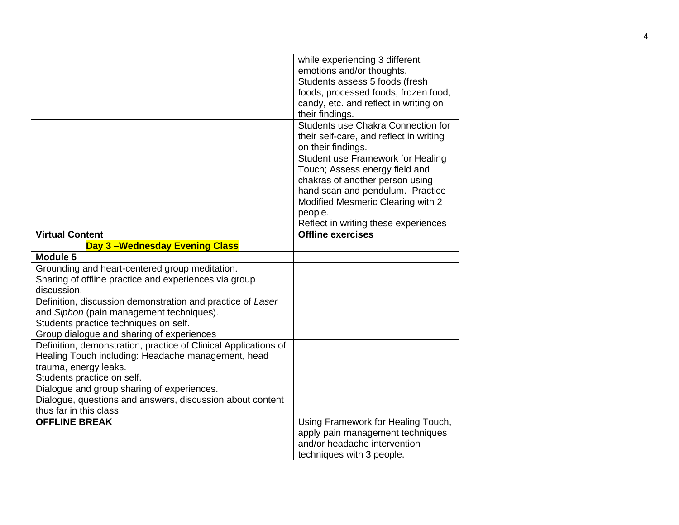|                                                                 | while experiencing 3 different          |
|-----------------------------------------------------------------|-----------------------------------------|
|                                                                 | emotions and/or thoughts.               |
|                                                                 | Students assess 5 foods (fresh          |
|                                                                 | foods, processed foods, frozen food,    |
|                                                                 | candy, etc. and reflect in writing on   |
|                                                                 | their findings.                         |
|                                                                 | Students use Chakra Connection for      |
|                                                                 | their self-care, and reflect in writing |
|                                                                 | on their findings.                      |
|                                                                 | Student use Framework for Healing       |
|                                                                 | Touch; Assess energy field and          |
|                                                                 | chakras of another person using         |
|                                                                 | hand scan and pendulum. Practice        |
|                                                                 | Modified Mesmeric Clearing with 2       |
|                                                                 | people.                                 |
|                                                                 | Reflect in writing these experiences    |
| <b>Virtual Content</b>                                          | <b>Offline exercises</b>                |
| Day 3-Wednesday Evening Class                                   |                                         |
| Module 5                                                        |                                         |
| Grounding and heart-centered group meditation.                  |                                         |
| Sharing of offline practice and experiences via group           |                                         |
| discussion.                                                     |                                         |
| Definition, discussion demonstration and practice of Laser      |                                         |
| and Siphon (pain management techniques).                        |                                         |
| Students practice techniques on self.                           |                                         |
| Group dialogue and sharing of experiences                       |                                         |
| Definition, demonstration, practice of Clinical Applications of |                                         |
| Healing Touch including: Headache management, head              |                                         |
| trauma, energy leaks.                                           |                                         |
| Students practice on self.                                      |                                         |
| Dialogue and group sharing of experiences.                      |                                         |
| Dialogue, questions and answers, discussion about content       |                                         |
| thus far in this class                                          |                                         |
| <b>OFFLINE BREAK</b>                                            | Using Framework for Healing Touch,      |
|                                                                 | apply pain management techniques        |
|                                                                 | and/or headache intervention            |
|                                                                 | techniques with 3 people.               |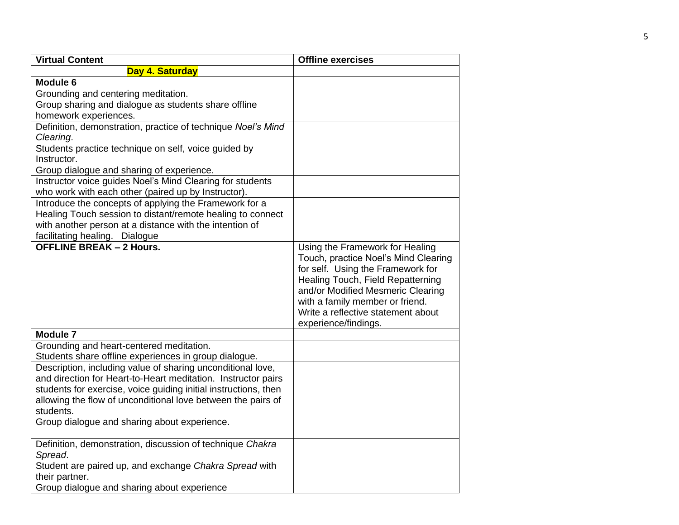| <b>Virtual Content</b>                                          | <b>Offline exercises</b>             |
|-----------------------------------------------------------------|--------------------------------------|
| Day 4. Saturday                                                 |                                      |
| Module 6                                                        |                                      |
| Grounding and centering meditation.                             |                                      |
| Group sharing and dialogue as students share offline            |                                      |
| homework experiences.                                           |                                      |
| Definition, demonstration, practice of technique Noel's Mind    |                                      |
| Clearing.                                                       |                                      |
| Students practice technique on self, voice guided by            |                                      |
| Instructor.                                                     |                                      |
| Group dialogue and sharing of experience.                       |                                      |
| Instructor voice guides Noel's Mind Clearing for students       |                                      |
| who work with each other (paired up by Instructor).             |                                      |
| Introduce the concepts of applying the Framework for a          |                                      |
| Healing Touch session to distant/remote healing to connect      |                                      |
| with another person at a distance with the intention of         |                                      |
| facilitating healing. Dialogue                                  |                                      |
| <b>OFFLINE BREAK - 2 Hours.</b>                                 | Using the Framework for Healing      |
|                                                                 | Touch, practice Noel's Mind Clearing |
|                                                                 | for self. Using the Framework for    |
|                                                                 | Healing Touch, Field Repatterning    |
|                                                                 | and/or Modified Mesmeric Clearing    |
|                                                                 | with a family member or friend.      |
|                                                                 | Write a reflective statement about   |
|                                                                 | experience/findings.                 |
| <b>Module 7</b>                                                 |                                      |
| Grounding and heart-centered meditation.                        |                                      |
| Students share offline experiences in group dialogue.           |                                      |
| Description, including value of sharing unconditional love,     |                                      |
| and direction for Heart-to-Heart meditation. Instructor pairs   |                                      |
| students for exercise, voice guiding initial instructions, then |                                      |
| allowing the flow of unconditional love between the pairs of    |                                      |
| students.                                                       |                                      |
| Group dialogue and sharing about experience.                    |                                      |
| Definition, demonstration, discussion of technique Chakra       |                                      |
| Spread.                                                         |                                      |
| Student are paired up, and exchange Chakra Spread with          |                                      |
| their partner.                                                  |                                      |
| Group dialogue and sharing about experience                     |                                      |